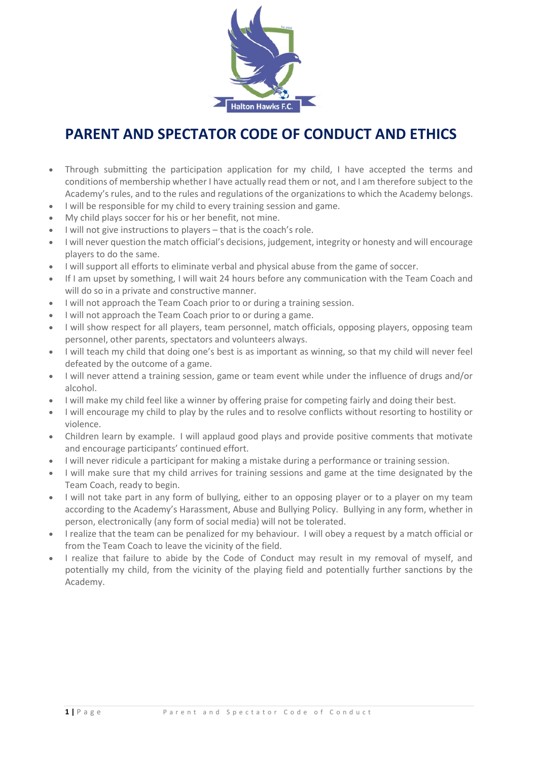

## **PARENT AND SPECTATOR CODE OF CONDUCT AND ETHICS**

- Through submitting the participation application for my child, I have accepted the terms and conditions of membership whether I have actually read them or not, and I am therefore subject to the Academy's rules, and to the rules and regulations of the organizations to which the Academy belongs.
- I will be responsible for my child to every training session and game.
- My child plays soccer for his or her benefit, not mine.
- I will not give instructions to players that is the coach's role.
- I will never question the match official's decisions, judgement, integrity or honesty and will encourage players to do the same.
- I will support all efforts to eliminate verbal and physical abuse from the game of soccer.
- If I am upset by something, I will wait 24 hours before any communication with the Team Coach and will do so in a private and constructive manner.
- I will not approach the Team Coach prior to or during a training session.
- I will not approach the Team Coach prior to or during a game.
- I will show respect for all players, team personnel, match officials, opposing players, opposing team personnel, other parents, spectators and volunteers always.
- I will teach my child that doing one's best is as important as winning, so that my child will never feel defeated by the outcome of a game.
- I will never attend a training session, game or team event while under the influence of drugs and/or alcohol.
- I will make my child feel like a winner by offering praise for competing fairly and doing their best.
- I will encourage my child to play by the rules and to resolve conflicts without resorting to hostility or violence.
- Children learn by example. I will applaud good plays and provide positive comments that motivate and encourage participants' continued effort.
- I will never ridicule a participant for making a mistake during a performance or training session.
- I will make sure that my child arrives for training sessions and game at the time designated by the Team Coach, ready to begin.
- I will not take part in any form of bullying, either to an opposing player or to a player on my team according to the Academy's Harassment, Abuse and Bullying Policy. Bullying in any form, whether in person, electronically (any form of social media) will not be tolerated.
- I realize that the team can be penalized for my behaviour. I will obey a request by a match official or from the Team Coach to leave the vicinity of the field.
- I realize that failure to abide by the Code of Conduct may result in my removal of myself, and potentially my child, from the vicinity of the playing field and potentially further sanctions by the Academy.